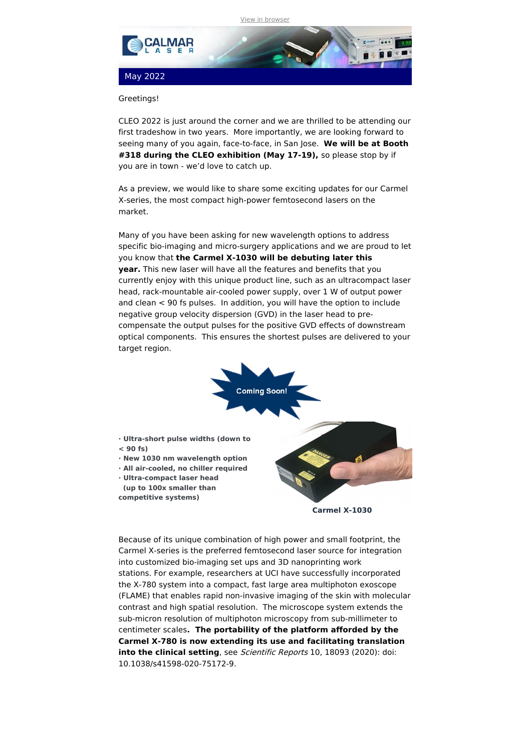

## Greetings!

CLEO 2022 is just around the corner and we are thrilled to be attending our first tradeshow in two years. More importantly, we are looking forward to seeing many of you again, face-to-face, in San Jose. **We will be at Booth #318 during the CLEO exhibition (May 17-19),** so please stop by if you are in town - we'd love to catch up.

As a preview, we would like to share some exciting updates for our Carmel X-series, the most compact high-power femtosecond lasers on the market.

Many of you have been asking for new wavelength options to address specific bio-imaging and micro-surgery applications and we are proud to let you know that **the Carmel X-1030 will be debuting later this year.** This new laser will have all the features and benefits that you currently enjoy with this unique product line, such as an ultracompact laser head, rack-mountable air-cooled power supply, over 1 W of output power and clean < 90 fs pulses. In addition, you will have the option to include negative group velocity dispersion (GVD) in the laser head to precompensate the output pulses for the positive GVD effects of downstream optical components. This ensures the shortest pulses are delivered to your target region.



Because of its unique combination of high power and small footprint, the Carmel X-series is the preferred femtosecond laser source for integration into customized bio-imaging set ups and 3D nanoprinting work stations. For example, researchers at UCI have successfully incorporated the X-780 system into a compact, fast large area multiphoton exoscope (FLAME) that enables rapid non-invasive imaging of the skin with molecular contrast and high spatial resolution. The microscope system extends the sub-micron resolution of multiphoton microscopy from sub-millimeter to centimeter scales**. The portability of the platform afforded by the Carmel X-780 is now extending its use and facilitating translation into the clinical setting**, see Scientific Reports 10, 18093 (2020): doi: 10.1038/s41598-020-75172-9.